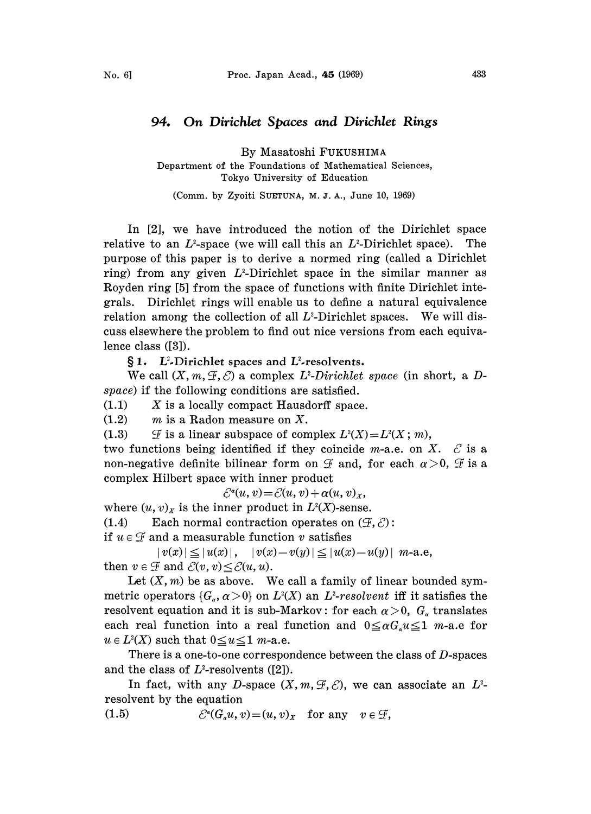## 94. On Divichlet Spaces and Dirichlet Rings

By Masatoshi FUKUSHIMA

Department of the Foundations of Mathematical Sciences, Tokyo University of Education

(Comm. by Zyoiti SUETUNA, M. J. A., June 10, 1969)

In [2], we have introduced the notion of the Dirichlet space relative to an  $L^2$ -space (we will call this an  $L^2$ -Dirichlet space). The purpose of this paper is to derive a normed ring (called a Dirichlet ring) from any given  $L^2$ -Dirichlet space in the similar manner as Royden ring [5] from the space of functions with finite Dirichlet integrals. Dirichlet rings will enable us to define a natural equivalence relation among the collection of all  $L^2$ -Dirichlet spaces. We will discuss elsewhere the problem to find out nice versions from each equivalence class ([3]).

 $\S 1.$  L<sup>2</sup>-Dirichlet spaces and L<sup>2</sup>-resolvents.

We call  $(X, m, \mathcal{F}, \mathcal{E})$  a complex  $L^2$ -Dirichlet space (in short, a Dspace) if the following conditions are satisfied.

 $(1.1)$  X is a locally compact Hausdorff space.

 $(1.2)$  m is a Radon measure on X.

(1.3)  $\mathcal{F}$  is a linear subspace of complex  $L^{2}(X)=L^{2}(X;m)$ ,

two functions being identified if they coincide *m*-a.e. on X.  $\mathcal E$  is a non-negative definite bilinear form on  $\mathcal F$  and, for each  $\alpha > 0$ ,  $\mathcal F$  is a two functions being identified if they coincide m-a.e. on X.  $\mathcal E$  is a complex Hilbert space with inner product

 $\mathcal{E}^{\alpha}(u, v) = \mathcal{E}(u, v) + \alpha(u, v)_{x},$ 

where  $(u, v)_x$  is the inner product in  $L^2(X)$ -sense.

(1.4) Each normal contraction operates on  $(\mathcal{F}, \mathcal{E})$ :

if  $u \in \mathcal{F}$  and a measurable function v satisfies

 $|v(x)| \le |u(x)|$ ,  $|v(x)-v(y)| \le |u(x)-u(y)|$  m-a.e, then  $v \in \mathcal{F}$  and  $\mathcal{E}(v, v) \leq \mathcal{E}(u, u)$ .

Let  $(X, m)$  be as above. We call a family of linear bounded symmetric operators  $\{G_{\alpha}, \alpha > 0\}$  on  $L^2(X)$  an  $L^2$ -resolvent iff it satisfies the resolvent equation and it is sub-Markov: for each  $\alpha > 0$ ,  $G_{\alpha}$  translates each real function into a real function and  $0 \leq \alpha G_{\alpha} u \leq 1$  m-a.e for  $u \in L^2(X)$  such that  $0 \le u \le 1$  m-a.e.

There is a one-to-one correspondence between the class of  $D$ -spaces and the class of  $L^2$ -resolvents ([2]).

In fact, with any D-space  $(X, m, \mathcal{F}, \mathcal{E})$ , we can associate an  $L^2$ resolvent by the equation

(1.5)  $\mathcal{C}^{\alpha}(G_{\alpha}u, v) = (u, v)_{x}$  for any  $v \in \mathcal{F}$ ,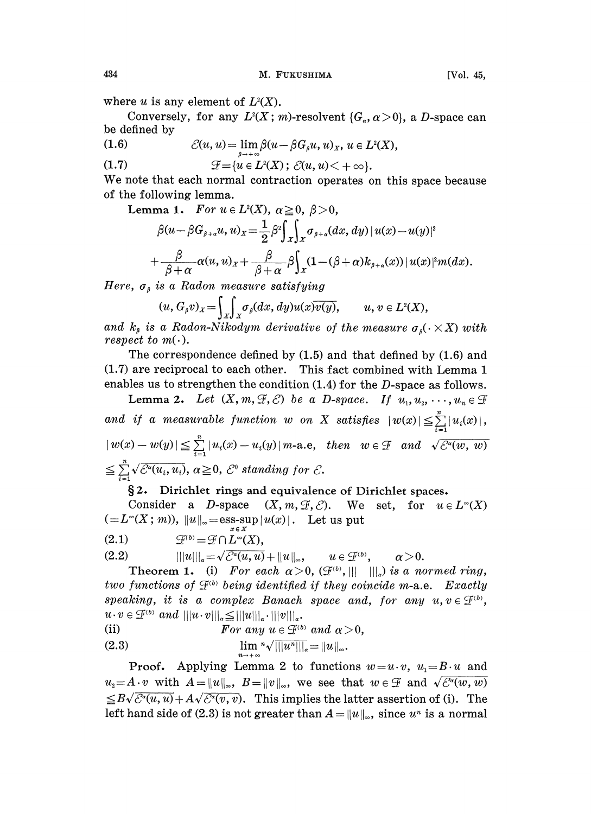where u is any element of  $L^2(X)$ .

Conversely, for any  $L^2(X; m)$ -resolvent  $\{G_\alpha, \alpha > 0\}$ , a D-space can be defined by

(1.6)  $\mathcal{C}(u, u) = \lim_{s \to +\infty} \beta(u - \beta G_s u, u)_X, u \in L^2(X),$ 

(1.7)  $\mathcal{F} = \{u \in L^2(X) \, ; \, \mathcal{E}(u, u) < +\infty\}.$ 

We note that each normal contraction operates on this space because of the following lemma.

Lemma 1. For  $u \in L^2(X)$ ,  $\alpha \geq 0$ ,  $\beta > 0$ ,

$$
\beta(u-\beta G_{\beta+\alpha}u,u)_x = \frac{1}{2}\beta^2 \int_x \int_x \sigma_{\beta+\alpha}(dx,dy) |u(x)-u(y)|^2
$$
  
+ 
$$
\frac{\beta}{\beta+\alpha}\alpha(u,u)_x + \frac{\beta}{\beta+\alpha}\beta \int_x (1-(\beta+\alpha)k_{\beta+\alpha}(x)) |u(x)|^2 m(dx).
$$

 $P + \alpha$   $P + \alpha$   $Jx$ <br>Here,  $\sigma_{\beta}$  is a Radon measure satisfying

 $(u, G_{\beta}v)_x = \int_X \int_X \sigma_{\beta}(dx, dy) u(x) \overline{v(y)}, \qquad u, v \in L^2(X),$ 

and  $k_{\beta}$  is a Radon-Nikodym derivative of the measure  $\sigma_{\beta}(\cdot \times X)$  with respect to  $m(\cdot)$ .

The correspondence defined by (1.5) and that defined by (1.6) and  $(1.7)$  are reciprocal to each other. This fact combined with Lemma 1 enables us to strengthen the condition  $(1.4)$  for the D-space as follows.

Lemma 2. Let  $(X, m, \mathcal{F}, \mathcal{E})$  be a D-space. If  $u_1, u_2, \dots, u_n \in \mathcal{F}$ and if a measurable function  $w$  on  $X$  satisfies  $|w(x)| \leq \sum_{i=1}^{n} |u_i(x)|$  $|w(x)-w(y)| \leqq \sum_{i=1}^{n} |u_i(x)-u_i(y)|$  m-a.e, then  $w \in \mathcal{F}$  and  $\sqrt{\mathcal{E}^a(w, w)}$  $\sum_{i=1}^n \sqrt{\mathcal{E}^a(u_i,u_i)}, \ \alpha \geqq 0, \ \mathcal{E}^0 \text{ standing for } \mathcal{E}.$ 

## §2. Dirichlet rings and equivalence of Dirichlet spaces.<br>Consider a D-space  $(X, m, \mathcal{F}, \mathcal{E})$ . We set, for  $u \in \mathcal{E}$

 $(X, m, \mathcal{F}, \mathcal{E})$ . We set, for  $u \in L^{\infty}(X)$  $(=L^{\infty}(X; m)), ||u||_{\infty} = \underset{x \in X}{\text{ess-sup}} |u(x)|.$  Let us put<br>
(2.1)  $\mathcal{F}^{(b)} = \mathcal{F} \cap L^{\infty}(X),$ 

$$
(2.1) \t\mathcal{F}^{(b)} = \mathcal{F} \cap L^{\infty}(X),
$$

$$
(2.2) \t\t\t\t\t||u|||_{\alpha} = \sqrt{\mathcal{C}^{\alpha}(u,u)} + ||u||_{\infty}, \t u \in \mathcal{F}^{(b)}, \t \alpha > 0.
$$

**Theorem 1.** (i) For each  $\alpha > 0$ ,  $(\mathcal{F}^{(b)}, ||| ||)$ , is a normed ring, two functions of  $\mathcal{F}^{(b)}$  being identified if they coincide m-a.e. Exactly speaking, it is a complex Banach space and, for any  $u, v \in \mathcal{F}^{(b)}$ ,  $u \cdot v \in \mathcal{F}^{(b)}$  and  $|||u \cdot v|||_{\alpha} \leq |||u|||_{\alpha} \cdot |||v|||_{\alpha}$ .

(i) 
$$
\text{For any } u \in \mathcal{F}^{(b)} \text{ and } \alpha > 0,
$$

$$
\lim_{n \to \infty} \sqrt{||u^n|||_{\alpha}} = ||u||_{\infty}.
$$

**Proof.** Applying Lemma 2 to functions  $w=u \cdot v$ ,  $u_1=B \cdot u$  and  $u_i=A\cdot v$  with  $A=\|u\|_{\infty}$ ,  $B=\|v\|_{\infty}$ , we see that  $w\in\mathcal{F}$  and  $\sqrt{\mathcal{C}^{\alpha}(w,w)}$  $\leq B\sqrt{\mathcal{E}^{a}(u, u)}+ A\sqrt{\mathcal{E}^{a}(v, v)}$ . This implies the latter assertion of (i). The left hand side of (2.3) is not greater than  $A=\|u\|_{\infty}$ , since  $u^*$  is a normal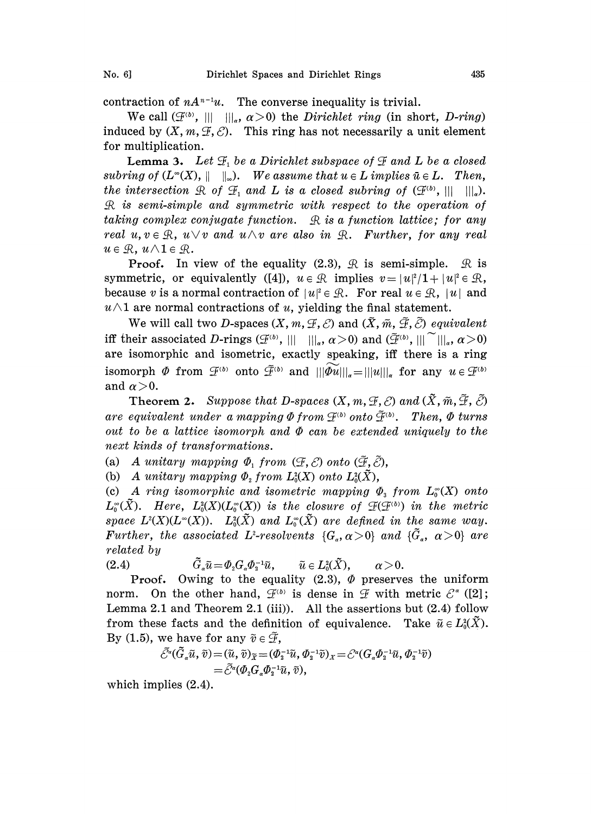contraction of  $nA^{n-1}u$ . The converse inequality is trivial.

We call  $(\mathcal{F}^{(b)}, ||| ||_{\alpha}, \alpha > 0)$  the *Dirichlet ring* (in short, *D-ring*) induced by  $(X, m, \mathcal{F}, \mathcal{C})$ . This ring has not necessarily a unit element for multiplication.

**Lemma 3.** Let  $\mathcal{F}_1$  be a Dirichlet subspace of  $\mathcal{F}$  and L be a closed subring of  $(L^{\infty}(X), \|\ \|_{\infty})$ . We assume that  $u \in L$  implies  $\bar{u} \in L$ . Then, the intersection  $\mathcal R$  of  $\mathcal F_1$  and  $L$  is a closed subring of  $(\mathcal F^{(b)},||\,||\,||_a)$ . L is semi-simple and symmetric with respect to the operation of taking complex conjugate function.  $\mathcal{R}$  is a function lattice; for any real  $u, v \in \mathbb{R}$ ,  $u \vee v$  and  $u \wedge v$  are also in  $\mathbb{R}$ . Further, for any real  $u \in \mathcal{R}$ ,  $u \wedge 1 \in \mathcal{R}$ .

**Proof.** In view of the equality (2.3),  $\mathcal{R}$  is semi-simple.  $\mathcal{R}$  is symmetric, or equivalently ([4]),  $u \in \mathbb{R}$  implies  $v=|u|^2/1+ |u|^2 \in \mathbb{R}$ , symmetric, or equivalently ([4]),  $u \in \mathcal{R}$  implies  $v = |u|^2/1 + |u|^2 \in \mathcal{R}$ , because  $v$  is a normal contraction of  $|u|^2 \in \mathcal{R}$ . For real  $u \in \mathcal{R}$ ,  $|u|$  and  $u \wedge 1$  are normal contractions of u, yielding the final statement.

We will call two D-spaces  $(X, m, \mathcal{F}, \mathcal{E})$  and  $(\tilde{X}, \tilde{m}, \tilde{\mathcal{F}}, \tilde{\mathcal{E}})$  equivalent iff their associated D-rings  $(\mathcal{F}^{(b)}, ||| ||_{\alpha}, \alpha >0)$  and  $(\tilde{\mathcal{F}}^{(b)}, ||| ^{\sim} ||_{\alpha}, \alpha >0)$ are isomorphic and isometric, exactly speaking, iff there is a ring isomorph  $\Phi$  from  $\mathcal{F}^{(b)}$  onto  $\tilde{\mathcal{F}}^{(b)}$  and  $||\tilde{\Phi}u||_{\infty} = ||u||_{\infty}$  for any  $u \in \mathcal{F}^{(b)}$ and  $\alpha > 0$ .

**Theorem 2.** Suppose that D-spaces  $(X, m, \mathcal{F}, \mathcal{E})$  and  $(\tilde{X}, \tilde{m}, \tilde{\mathcal{F}}, \tilde{\mathcal{E}})$ are equivalent under a mapping  $\Phi$  from  $\mathcal{F}^{(b)}$  onto  $\tilde{\mathcal{F}}^{(b)}$ . Then,  $\Phi$  turns out to be a lattice isomorph and  $\Phi$  can be extended uniquely to the next kinds of transformations.

(a) A unitary mapping  $\Phi_1$  from  $(\mathcal{F}, \mathcal{E})$  onto  $(\tilde{\mathcal{F}}, \tilde{\mathcal{E}})$ ,

(b) A unitary mapping  $\Phi_2$  from  $L^2_0(X)$  onto  $L^2_0(\tilde{X})$ ,

(c) A ring isomorphic and isometric mapping  $\Phi_3$  from  $L_0^{\infty}(X)$  onto  $L_0^{\infty}(\tilde{X})$ . Here,  $L_0^2(X)(L_0^{\infty}(X))$  is the closure of  $\mathcal{F}(\mathcal{F}^{(b)})$  in the metric space  $L^2(X)(L^{\infty}(X))$ .  $L_0^2(\tilde{X})$  and  $L_0^{\infty}(\tilde{X})$  are defined in the same way. Further, the associated L<sup>2</sup>-resolvents  $\{G_a,\alpha>0\}$  and  $\{\tilde{G}_a,\alpha>0\}$  are related by

(2.4)  $\tilde{G}_a \tilde{u} = \Phi_2 G_a \Phi_3^{-1} \tilde{u}, \qquad \tilde{u} \in L^2_a(\tilde{X}), \qquad \alpha > 0.$ 

**Proof.** Owing to the equality  $(2.3)$ ,  $\Phi$  preserves the uniform norm. On the other hand,  $\mathcal{F}^{(b)}$  is dense in  $\mathcal F$  with metric  $\mathcal{E}^*$  ([2];<br>Lemma 2.1 and Theorem 2.1 (iii)). All the assertions but (2.4) follow Lemma 2.1 and Theorem 2.1 (iii)). All the assertions but  $(2.4)$  follow from these facts and the definition of equivalence. Take  $\tilde{u} \in L_0^2(\tilde{X})$ . By (1.5), we have for any  $\tilde{v} \in \tilde{\mathcal{F}}$ ,

$$
\begin{aligned} \bar{\mathcal{C}}^*(\tilde{G}_a\tilde{u},\tilde{v})\!=&(\tilde{u},\tilde{v})_{\widetilde{X}}\!=&(\varPhi_1^{-1}\tilde{u},\varPhi_2^{-1}\tilde{v})_{X}\!=\!\mathcal{E}^*(G_a\varPhi_2^{-1}\tilde{u},\varPhi_2^{-1}\tilde{v})\\ =&\,\tilde{\mathcal{C}}^*(\varPhi_2G_a\varPhi_2^{-1}\tilde{u},\tilde{v}), \end{aligned}
$$

which implies (2.4).